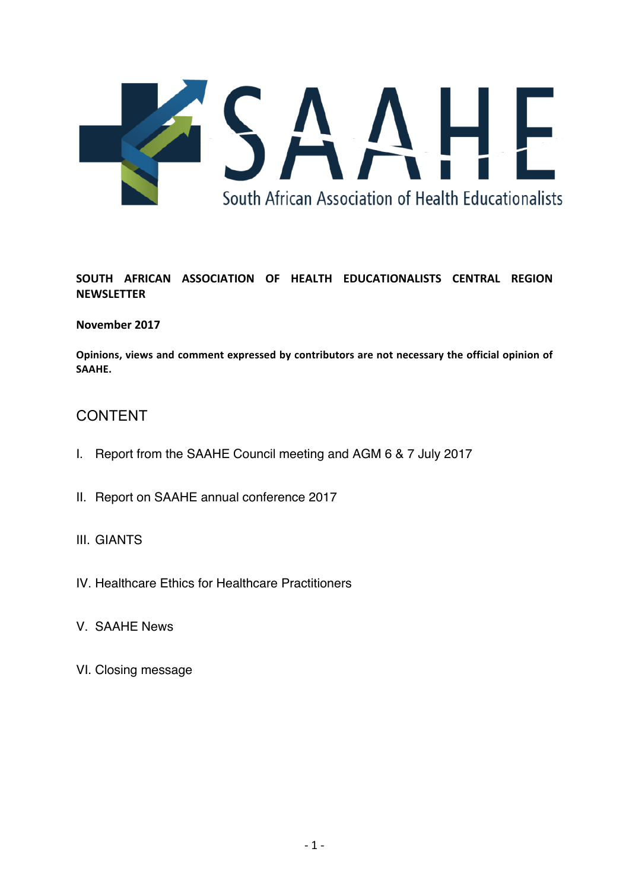

# **SOUTH AFRICAN ASSOCIATION OF HEALTH EDUCATIONALISTS CENTRAL REGION NEWSLETTER**

## **November 2017**

Opinions, views and comment expressed by contributors are not necessary the official opinion of **SAAHE.**

# CONTENT

- I. Report from the SAAHE Council meeting and AGM 6 & 7 July 2017
- II. Report on SAAHE annual conference 2017
- III. GIANTS
- IV. Healthcare Ethics for Healthcare Practitioners
- V. SAAHE News
- VI. Closing message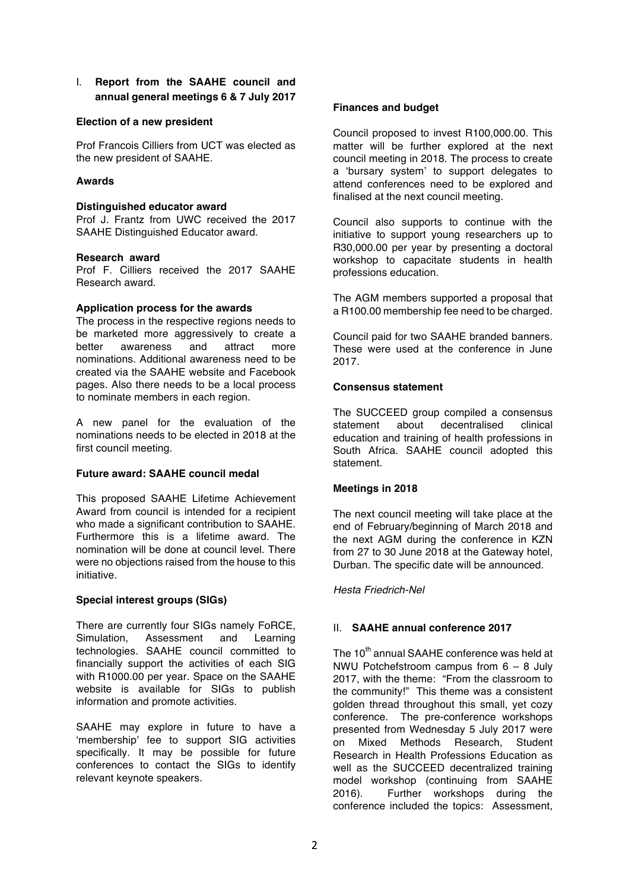I. **Report from the SAAHE council and annual general meetings 6 & 7 July 2017**

#### **Election of a new president**

Prof Francois Cilliers from UCT was elected as the new president of SAAHE.

## **Awards**

#### **Distinguished educator award**

Prof J. Frantz from UWC received the 2017 SAAHE Distinguished Educator award.

#### **Research award**

Prof F. Cilliers received the 2017 SAAHE Research award.

#### **Application process for the awards**

The process in the respective regions needs to be marketed more aggressively to create a better awareness and attract more nominations. Additional awareness need to be created via the SAAHE website and Facebook pages. Also there needs to be a local process to nominate members in each region.

A new panel for the evaluation of the nominations needs to be elected in 2018 at the first council meeting.

## **Future award: SAAHE council medal**

This proposed SAAHE Lifetime Achievement Award from council is intended for a recipient who made a significant contribution to SAAHE. Furthermore this is a lifetime award. The nomination will be done at council level. There were no objections raised from the house to this initiative.

## **Special interest groups (SIGs)**

There are currently four SIGs namely FoRCE, Simulation, Assessment and Learning technologies. SAAHE council committed to financially support the activities of each SIG with R1000.00 per year. Space on the SAAHE website is available for SIGs to publish information and promote activities.

SAAHE may explore in future to have a 'membership' fee to support SIG activities specifically. It may be possible for future conferences to contact the SIGs to identify relevant keynote speakers.

## **Finances and budget**

Council proposed to invest R100,000.00. This matter will be further explored at the next council meeting in 2018. The process to create a 'bursary system' to support delegates to attend conferences need to be explored and finalised at the next council meeting.

Council also supports to continue with the initiative to support young researchers up to R30,000.00 per year by presenting a doctoral workshop to capacitate students in health professions education.

The AGM members supported a proposal that a R100.00 membership fee need to be charged.

Council paid for two SAAHE branded banners. These were used at the conference in June 2017.

## **Consensus statement**

The SUCCEED group compiled a consensus<br>statement about decentralised clinical statement about decentralised clinical education and training of health professions in South Africa. SAAHE council adopted this statement.

## **Meetings in 2018**

The next council meeting will take place at the end of February/beginning of March 2018 and the next AGM during the conference in KZN from 27 to 30 June 2018 at the Gateway hotel, Durban. The specific date will be announced.

## *Hesta Friedrich-Nel*

## II. **SAAHE annual conference 2017**

The 10<sup>th</sup> annual SAAHE conference was held at NWU Potchefstroom campus from 6 – 8 July 2017, with the theme: "From the classroom to the community!" This theme was a consistent golden thread throughout this small, yet cozy conference. The pre-conference workshops presented from Wednesday 5 July 2017 were on Mixed Methods Research, Student Research in Health Professions Education as well as the SUCCEED decentralized training model workshop (continuing from SAAHE 2016). Further workshops during the conference included the topics: Assessment,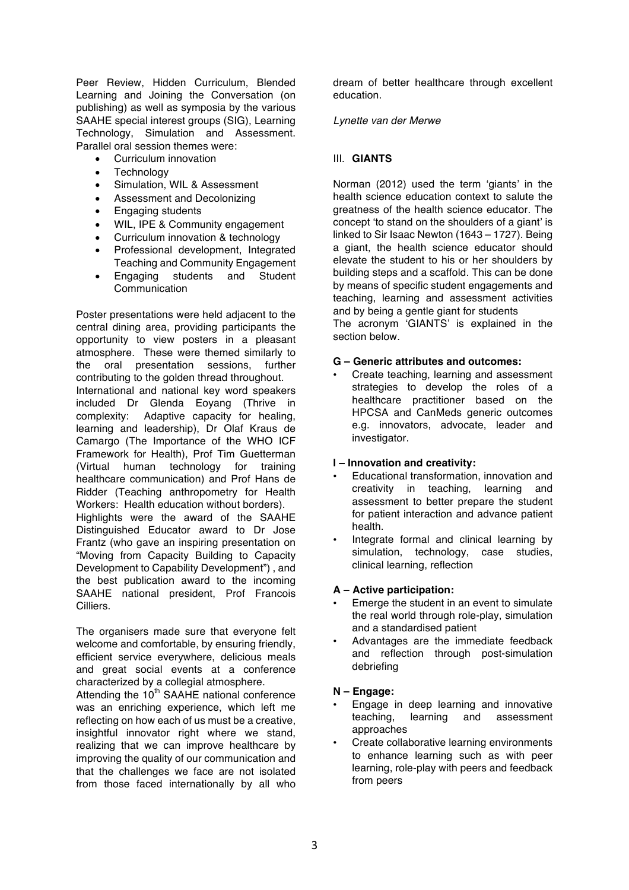Peer Review, Hidden Curriculum, Blended Learning and Joining the Conversation (on publishing) as well as symposia by the various SAAHE special interest groups (SIG), Learning Technology, Simulation and Assessment. Parallel oral session themes were:

- Curriculum innovation
- Technology
- Simulation, WIL & Assessment
- Assessment and Decolonizing
- Engaging students
- WIL, IPE & Community engagement
- Curriculum innovation & technology
- Professional development, Integrated Teaching and Community Engagement
- Engaging students and Student Communication

Poster presentations were held adjacent to the central dining area, providing participants the opportunity to view posters in a pleasant atmosphere. These were themed similarly to the oral presentation sessions, further contributing to the golden thread throughout. International and national key word speakers included Dr Glenda Eoyang (Thrive in complexity: Adaptive capacity for healing, learning and leadership), Dr Olaf Kraus de Camargo (The Importance of the WHO ICF Framework for Health), Prof Tim Guetterman (Virtual human technology for training healthcare communication) and Prof Hans de Ridder (Teaching anthropometry for Health Workers: Health education without borders). Highlights were the award of the SAAHE Distinguished Educator award to Dr Jose Frantz (who gave an inspiring presentation on "Moving from Capacity Building to Capacity Development to Capability Development") , and the best publication award to the incoming SAAHE national president, Prof Francois Cilliers.

The organisers made sure that everyone felt welcome and comfortable, by ensuring friendly, efficient service everywhere, delicious meals and great social events at a conference characterized by a collegial atmosphere.

Attending the 10<sup>th</sup> SAAHE national conference was an enriching experience, which left me reflecting on how each of us must be a creative, insightful innovator right where we stand, realizing that we can improve healthcare by improving the quality of our communication and that the challenges we face are not isolated from those faced internationally by all who

dream of better healthcare through excellent education.

#### *Lynette van der Merwe*

## III. **GIANTS**

Norman (2012) used the term 'giants' in the health science education context to salute the greatness of the health science educator. The concept 'to stand on the shoulders of a giant' is linked to Sir Isaac Newton (1643 – 1727). Being a giant, the health science educator should elevate the student to his or her shoulders by building steps and a scaffold. This can be done by means of specific student engagements and teaching, learning and assessment activities and by being a gentle giant for students The acronym 'GIANTS' is explained in the

section below.

## **G – Generic attributes and outcomes:**

• Create teaching, learning and assessment strategies to develop the roles of a healthcare practitioner based on the HPCSA and CanMeds generic outcomes e.g. innovators, advocate, leader and investigator.

## **I – Innovation and creativity:**

- Educational transformation, innovation and creativity in teaching, learning and assessment to better prepare the student for patient interaction and advance patient health.
- Integrate formal and clinical learning by simulation, technology, case studies, clinical learning, reflection

## **A – Active participation:**

- Emerge the student in an event to simulate the real world through role-play, simulation and a standardised patient
- Advantages are the immediate feedback and reflection through post-simulation debriefing

## **N – Engage:**

- Engage in deep learning and innovative teaching, learning and assessment approaches
- Create collaborative learning environments to enhance learning such as with peer learning, role-play with peers and feedback from peers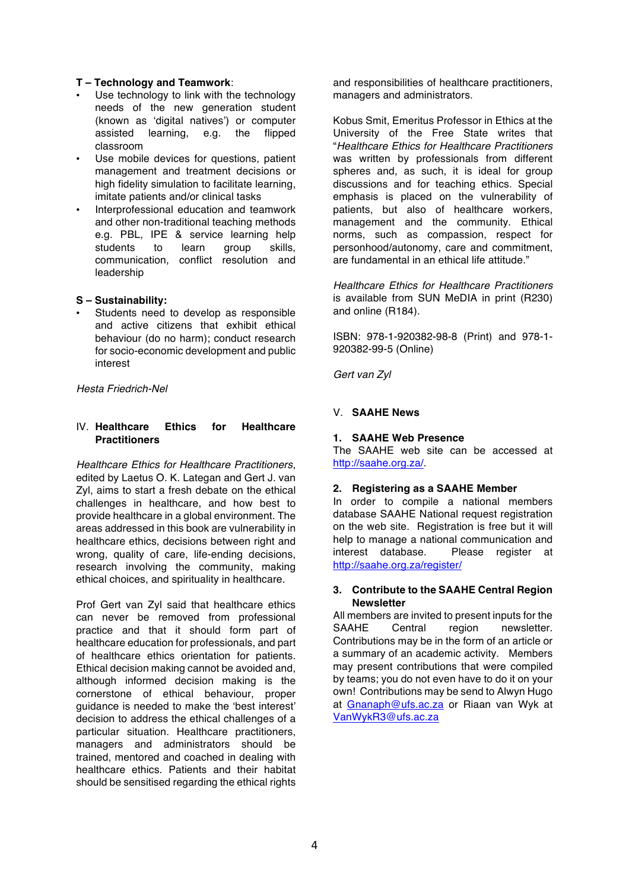## **T – Technology and Teamwork**:

- Use technology to link with the technology needs of the new generation student (known as 'digital natives') or computer assisted learning, e.g. the flipped classroom
- Use mobile devices for questions, patient management and treatment decisions or high fidelity simulation to facilitate learning. imitate patients and/or clinical tasks
- Interprofessional education and teamwork and other non-traditional teaching methods e.g. PBL, IPE & service learning help students to learn group skills, communication, conflict resolution and leadership

#### **S – Sustainability:**

• Students need to develop as responsible and active citizens that exhibit ethical behaviour (do no harm); conduct research for socio-economic development and public interest

*Hesta Friedrich-Nel*

#### IV. **Healthcare Ethics for Healthcare Practitioners**

*Healthcare Ethics for Healthcare Practitioners*, edited by Laetus O. K. Lategan and Gert J. van Zyl, aims to start a fresh debate on the ethical challenges in healthcare, and how best to provide healthcare in a global environment. The areas addressed in this book are vulnerability in healthcare ethics, decisions between right and wrong, quality of care, life-ending decisions, research involving the community, making ethical choices, and spirituality in healthcare.

Prof Gert van Zyl said that healthcare ethics can never be removed from professional practice and that it should form part of healthcare education for professionals, and part of healthcare ethics orientation for patients. Ethical decision making cannot be avoided and, although informed decision making is the cornerstone of ethical behaviour, proper guidance is needed to make the 'best interest' decision to address the ethical challenges of a particular situation. Healthcare practitioners, managers and administrators should be trained, mentored and coached in dealing with healthcare ethics. Patients and their habitat should be sensitised regarding the ethical rights

and responsibilities of healthcare practitioners, managers and administrators.

Kobus Smit, Emeritus Professor in Ethics at the University of the Free State writes that "*Healthcare Ethics for Healthcare Practitioners*  was written by professionals from different spheres and, as such, it is ideal for group discussions and for teaching ethics. Special emphasis is placed on the vulnerability of patients, but also of healthcare workers, management and the community. Ethical norms, such as compassion, respect for personhood/autonomy, care and commitment, are fundamental in an ethical life attitude."

*Healthcare Ethics for Healthcare Practitioners*  is available from SUN MeDIA in print (R230) and online (R184).

ISBN: 978-1-920382-98-8 (Print) and 978-1- 920382-99-5 (Online)

*Gert van Zyl*

## V. **SAAHE News**

#### **1. SAAHE Web Presence**

The SAAHE web site can be accessed at http://saahe.org.za/.

#### **2. Registering as a SAAHE Member**

In order to compile a national members database SAAHE National request registration on the web site. Registration is free but it will help to manage a national communication and interest database. Please register at http://saahe.org.za/register/

#### **3. Contribute to the SAAHE Central Region Newsletter**

All members are invited to present inputs for the SAAHE Central region newsletter. Contributions may be in the form of an article or a summary of an academic activity. Members may present contributions that were compiled by teams; you do not even have to do it on your own! Contributions may be send to Alwyn Hugo at Gnanaph@ufs.ac.za or Riaan van Wyk at VanWykR3@ufs.ac.za